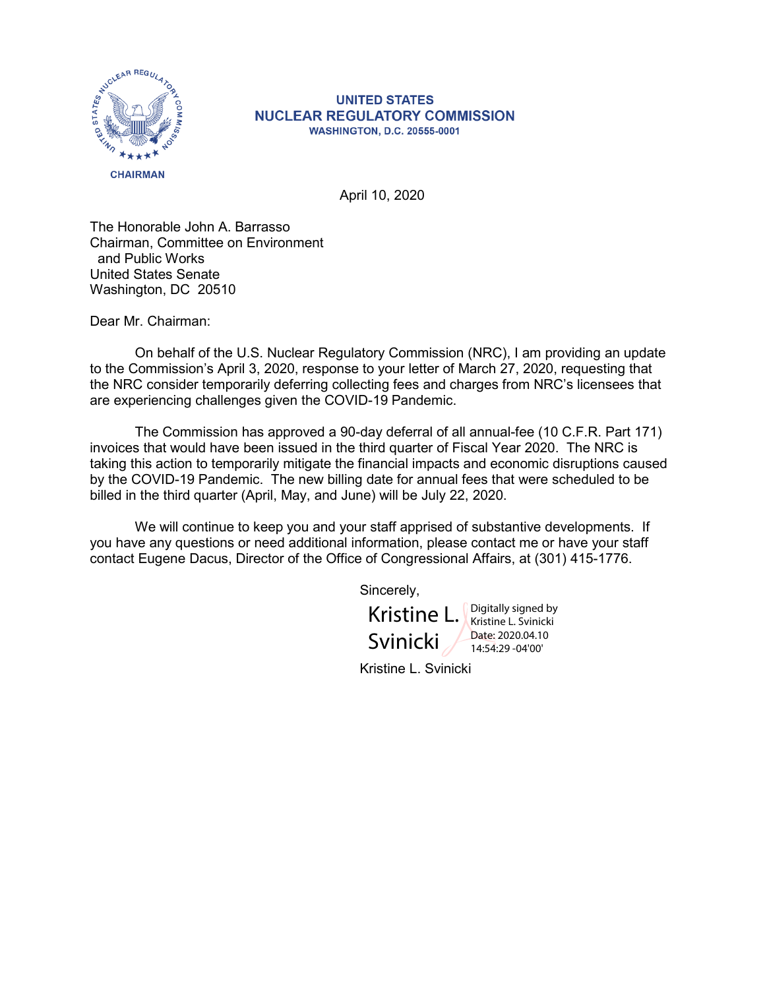

## **UNITED STATES NUCLEAR REGULATORY COMMISSION WASHINGTON, D.C. 20555-0001**

April 10, 2020

The Honorable John A. Barrasso Chairman, Committee on Environment and Public Works United States Senate Washington, DC 20510

Dear Mr. Chairman:

On behalf of the U.S. Nuclear Regulatory Commission (NRC), I am providing an update to the Commission's April 3, 2020, response to your letter of March 27, 2020, requesting that the NRC consider temporarily deferring collecting fees and charges from NRC's licensees that are experiencing challenges given the COVID-19 Pandemic.

The Commission has approved a 90-day deferral of all annual-fee (10 C.F.R. Part 171) invoices that would have been issued in the third quarter of Fiscal Year 2020. The NRC is taking this action to temporarily mitigate the financial impacts and economic disruptions caused by the COVID-19 Pandemic. The new billing date for annual fees that were scheduled to be billed in the third quarter (April, May, and June) will be July 22, 2020.

We will continue to keep you and your staff apprised of substantive developments. If you have any questions or need additional information, please contact me or have your staff contact Eugene Dacus, Director of the Office of Congressional Affairs, at (301) 415-1776.

Sincerely,

Kristine L. Svinicki Digitally signed by Kristine L. Svinicki Date: 2020.04.10 14:54:29 -04'00'

Kristine L. Svinicki